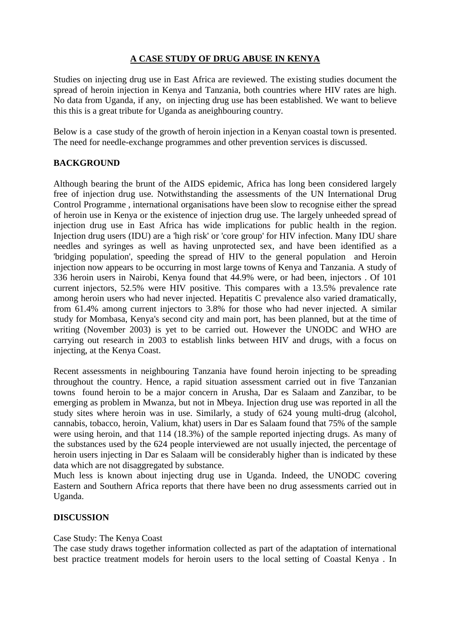# **A CASE STUDY OF DRUG ABUSE IN KENYA**

Studies on injecting drug use in East Africa are reviewed. The existing studies document the spread of heroin injection in Kenya and Tanzania, both countries where HIV rates are high. No data from Uganda, if any, on injecting drug use has been established. We want to believe this this is a great tribute for Uganda as aneighbouring country.

Below is a case study of the growth of heroin injection in a Kenyan coastal town is presented. The need for needle-exchange programmes and other prevention services is discussed.

## **BACKGROUND**

Although bearing the brunt of the AIDS epidemic, Africa has long been considered largely free of injection drug use. Notwithstanding the assessments of the UN International Drug Control Programme , international organisations have been slow to recognise either the spread of heroin use in Kenya or the existence of injection drug use. The largely unheeded spread of injection drug use in East Africa has wide implications for public health in the region. Injection drug users (IDU) are a 'high risk' or 'core group' for HIV infection. Many IDU share needles and syringes as well as having unprotected sex, and have been identified as a 'bridging population', speeding the spread of HIV to the general population and Heroin injection now appears to be occurring in most large towns of Kenya and Tanzania. A study of 336 heroin users in Nairobi, Kenya found that 44.9% were, or had been, injectors . Of 101 current injectors, 52.5% were HIV positive. This compares with a 13.5% prevalence rate among heroin users who had never injected. Hepatitis C prevalence also varied dramatically, from 61.4% among current injectors to 3.8% for those who had never injected. A similar study for Mombasa, Kenya's second city and main port, has been planned, but at the time of writing (November 2003) is yet to be carried out. However the UNODC and WHO are carrying out research in 2003 to establish links between HIV and drugs, with a focus on injecting, at the Kenya Coast.

Recent assessments in neighbouring Tanzania have found heroin injecting to be spreading throughout the country. Hence, a rapid situation assessment carried out in five Tanzanian towns found heroin to be a major concern in Arusha, Dar es Salaam and Zanzibar, to be emerging as problem in Mwanza, but not in Mbeya. Injection drug use was reported in all the study sites where heroin was in use. Similarly, a study of 624 young multi-drug (alcohol, cannabis, tobacco, heroin, Valium, khat) users in Dar es Salaam found that 75% of the sample were using heroin, and that 114 (18.3%) of the sample reported injecting drugs. As many of the substances used by the 624 people interviewed are not usually injected, the percentage of heroin users injecting in Dar es Salaam will be considerably higher than is indicated by these data which are not disaggregated by substance.

Much less is known about injecting drug use in Uganda. Indeed, the UNODC covering Eastern and Southern Africa reports that there have been no drug assessments carried out in Uganda.

### **DISCUSSION**

### Case Study: The Kenya Coast

The case study draws together information collected as part of the adaptation of international best practice treatment models for heroin users to the local setting of Coastal Kenya . In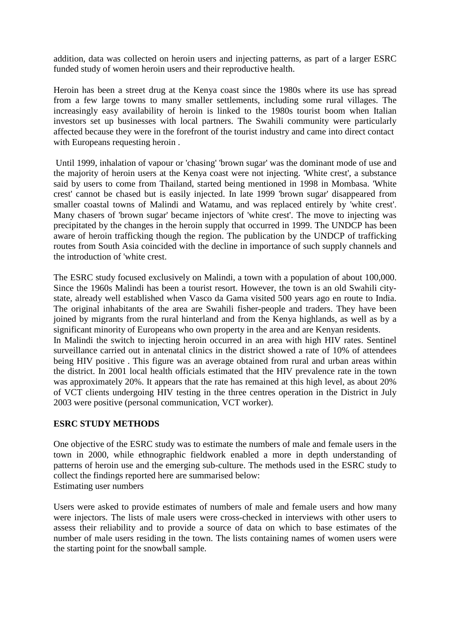addition, data was collected on heroin users and injecting patterns, as part of a larger ESRC funded study of women heroin users and their reproductive health.

Heroin has been a street drug at the Kenya coast since the 1980s where its use has spread from a few large towns to many smaller settlements, including some rural villages. The increasingly easy availability of heroin is linked to the 1980s tourist boom when Italian investors set up businesses with local partners. The Swahili community were particularly affected because they were in the forefront of the tourist industry and came into direct contact with Europeans requesting heroin .

Until 1999, inhalation of vapour or 'chasing' 'brown sugar' was the dominant mode of use and the majority of heroin users at the Kenya coast were not injecting. 'White crest', a substance said by users to come from Thailand, started being mentioned in 1998 in Mombasa. 'White crest' cannot be chased but is easily injected. In late 1999 'brown sugar' disappeared from smaller coastal towns of Malindi and Watamu, and was replaced entirely by 'white crest'. Many chasers of 'brown sugar' became injectors of 'white crest'. The move to injecting was precipitated by the changes in the heroin supply that occurred in 1999. The UNDCP has been aware of heroin trafficking though the region. The publication by the UNDCP of trafficking routes from South Asia coincided with the decline in importance of such supply channels and the introduction of 'white crest.

The ESRC study focused exclusively on Malindi, a town with a population of about 100,000. Since the 1960s Malindi has been a tourist resort. However, the town is an old Swahili citystate, already well established when Vasco da Gama visited 500 years ago en route to India. The original inhabitants of the area are Swahili fisher-people and traders. They have been joined by migrants from the rural hinterland and from the Kenya highlands, as well as by a significant minority of Europeans who own property in the area and are Kenyan residents. In Malindi the switch to injecting heroin occurred in an area with high HIV rates. Sentinel surveillance carried out in antenatal clinics in the district showed a rate of 10% of attendees being HIV positive . This figure was an average obtained from rural and urban areas within the district. In 2001 local health officials estimated that the HIV prevalence rate in the town was approximately 20%. It appears that the rate has remained at this high level, as about 20% of VCT clients undergoing HIV testing in the three centres operation in the District in July

# **ESRC STUDY METHODS**

2003 were positive (personal communication, VCT worker).

One objective of the ESRC study was to estimate the numbers of male and female users in the town in 2000, while ethnographic fieldwork enabled a more in depth understanding of patterns of heroin use and the emerging sub-culture. The methods used in the ESRC study to collect the findings reported here are summarised below: Estimating user numbers

Users were asked to provide estimates of numbers of male and female users and how many were injectors. The lists of male users were cross-checked in interviews with other users to assess their reliability and to provide a source of data on which to base estimates of the number of male users residing in the town. The lists containing names of women users were the starting point for the snowball sample.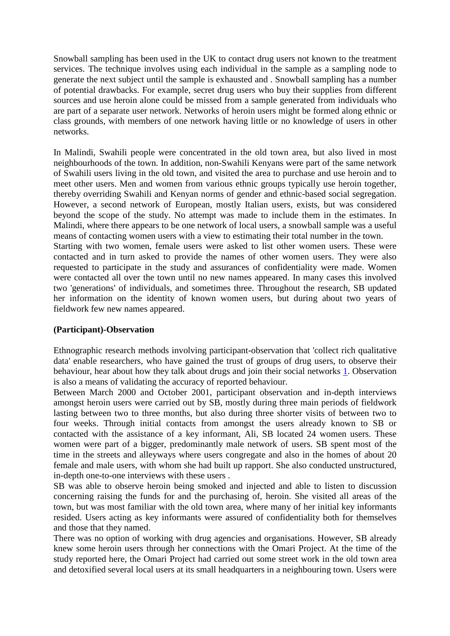Snowball sampling has been used in the UK to contact drug users not known to the treatment services. The technique involves using each individual in the sample as a sampling node to generate the next subject until the sample is exhausted and . Snowball sampling has a number of potential drawbacks. For example, secret drug users who buy their supplies from different sources and use heroin alone could be missed from a sample generated from individuals who are part of a separate user network. Networks of heroin users might be formed along ethnic or class grounds, with members of one network having little or no knowledge of users in other networks.

In Malindi, Swahili people were concentrated in the old town area, but also lived in most neighbourhoods of the town. In addition, non-Swahili Kenyans were part of the same network of Swahili users living in the old town, and visited the area to purchase and use heroin and to meet other users. Men and women from various ethnic groups typically use heroin together, thereby overriding Swahili and Kenyan norms of gender and ethnic-based social segregation. However, a second network of European, mostly Italian users, exists, but was considered beyond the scope of the study. No attempt was made to include them in the estimates. In Malindi, where there appears to be one network of local users, a snowball sample was a useful means of contacting women users with a view to estimating their total number in the town.

Starting with two women, female users were asked to list other women users. These were contacted and in turn asked to provide the names of other women users. They were also requested to participate in the study and assurances of confidentiality were made. Women were contacted all over the town until no new names appeared. In many cases this involved two 'generations' of individuals, and sometimes three. Throughout the research, SB updated her information on the identity of known women users, but during about two years of fieldwork few new names appeared.

# **(Participant)-Observation**

Ethnographic research methods involving participant-observation that 'collect rich qualitative data' enable researchers, who have gained the trust of groups of drug users, to observe their behaviour, hear about how they talk about drugs and join their social networks 1. Observation is also a means of validating the accuracy of reported behaviour.

Between March 2000 and October 2001, participant observation and in-depth interviews amongst heroin users were carried out by SB, mostly during three main periods of fieldwork lasting between two to three months, but also during three shorter visits of between two to four weeks. Through initial contacts from amongst the users already known to SB or contacted with the assistance of a key informant, Ali, SB located 24 women users. These women were part of a bigger, predominantly male network of users. SB spent most of the time in the streets and alleyways where users congregate and also in the homes of about 20 female and male users, with whom she had built up rapport. She also conducted unstructured, in-depth one-to-one interviews with these users .

SB was able to observe heroin being smoked and injected and able to listen to discussion concerning raising the funds for and the purchasing of, heroin. She visited all areas of the town, but was most familiar with the old town area, where many of her initial key informants resided. Users acting as key informants were assured of confidentiality both for themselves and those that they named.

There was no option of working with drug agencies and organisations. However, SB already knew some heroin users through her connections with the Omari Project. At the time of the study reported here, the Omari Project had carried out some street work in the old town area and detoxified several local users at its small headquarters in a neighbouring town. Users were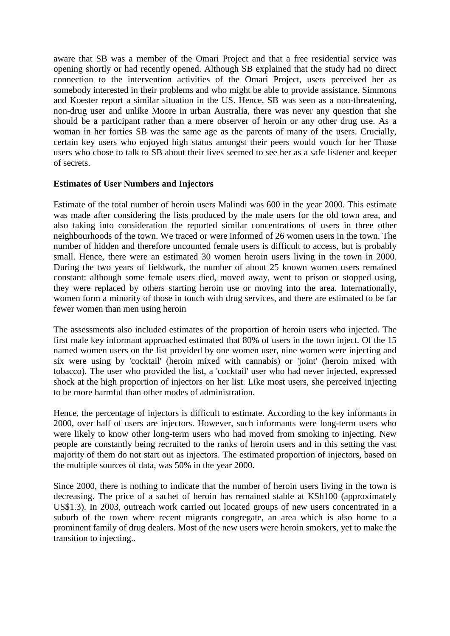aware that SB was a member of the Omari Project and that a free residential service was opening shortly or had recently opened. Although SB explained that the study had no direct connection to the intervention activities of the Omari Project, users perceived her as somebody interested in their problems and who might be able to provide assistance. Simmons and Koester report a similar situation in the US. Hence, SB was seen as a non-threatening, non-drug user and unlike Moore in urban Australia, there was never any question that she should be a participant rather than a mere observer of heroin or any other drug use. As a woman in her forties SB was the same age as the parents of many of the users. Crucially, certain key users who enjoyed high status amongst their peers would vouch for her Those users who chose to talk to SB about their lives seemed to see her as a safe listener and keeper of secrets.

### **Estimates of User Numbers and Injectors**

Estimate of the total number of heroin users Malindi was 600 in the year 2000. This estimate was made after considering the lists produced by the male users for the old town area, and also taking into consideration the reported similar concentrations of users in three other neighbourhoods of the town. We traced or were informed of 26 women users in the town. The number of hidden and therefore uncounted female users is difficult to access, but is probably small. Hence, there were an estimated 30 women heroin users living in the town in 2000. During the two years of fieldwork, the number of about 25 known women users remained constant: although some female users died, moved away, went to prison or stopped using, they were replaced by others starting heroin use or moving into the area. Internationally, women form a minority of those in touch with drug services, and there are estimated to be far fewer women than men using heroin

The assessments also included estimates of the proportion of heroin users who injected. The first male key informant approached estimated that 80% of users in the town inject. Of the 15 named women users on the list provided by one women user, nine women were injecting and six were using by 'cocktail' (heroin mixed with cannabis) or 'joint' (heroin mixed with tobacco). The user who provided the list, a 'cocktail' user who had never injected, expressed shock at the high proportion of injectors on her list. Like most users, she perceived injecting to be more harmful than other modes of administration.

Hence, the percentage of injectors is difficult to estimate. According to the key informants in 2000, over half of users are injectors. However, such informants were long-term users who were likely to know other long-term users who had moved from smoking to injecting. New people are constantly being recruited to the ranks of heroin users and in this setting the vast majority of them do not start out as injectors. The estimated proportion of injectors, based on the multiple sources of data, was 50% in the year 2000.

Since 2000, there is nothing to indicate that the number of heroin users living in the town is decreasing. The price of a sachet of heroin has remained stable at KSh100 (approximately US\$1.3). In 2003, outreach work carried out located groups of new users concentrated in a suburb of the town where recent migrants congregate, an area which is also home to a prominent family of drug dealers. Most of the new users were heroin smokers, yet to make the transition to injecting..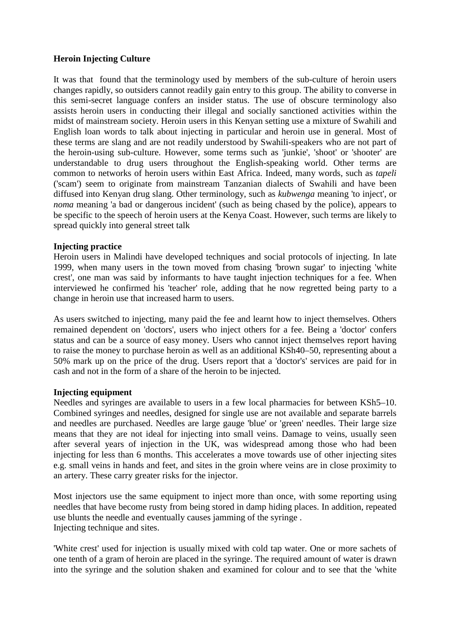# **Heroin Injecting Culture**

It was that found that the terminology used by members of the sub-culture of heroin users changes rapidly, so outsiders cannot readily gain entry to this group. The ability to converse in this semi-secret language confers an insider status. The use of obscure terminology also assists heroin users in conducting their illegal and socially sanctioned activities within the midst of mainstream society. Heroin users in this Kenyan setting use a mixture of Swahili and English loan words to talk about injecting in particular and heroin use in general. Most of these terms are slang and are not readily understood by Swahili-speakers who are not part of the heroin-using sub-culture. However, some terms such as 'junkie', 'shoot' or 'shooter' are understandable to drug users throughout the English-speaking world. Other terms are common to networks of heroin users within East Africa. Indeed, many words, such as *tapeli* ('scam') seem to originate from mainstream Tanzanian dialects of Swahili and have been diffused into Kenyan drug slang. Other terminology, such as *kubwenga* meaning 'to inject', or *noma* meaning 'a bad or dangerous incident' (such as being chased by the police), appears to be specific to the speech of heroin users at the Kenya Coast. However, such terms are likely to spread quickly into general street talk

### **Injecting practice**

Heroin users in Malindi have developed techniques and social protocols of injecting. In late 1999, when many users in the town moved from chasing 'brown sugar' to injecting 'white crest', one man was said by informants to have taught injection techniques for a fee. When interviewed he confirmed his 'teacher' role, adding that he now regretted being party to a change in heroin use that increased harm to users.

As users switched to injecting, many paid the fee and learnt how to inject themselves. Others remained dependent on 'doctors', users who inject others for a fee. Being a 'doctor' confers status and can be a source of easy money. Users who cannot inject themselves report having to raise the money to purchase heroin as well as an additional KSh40–50, representing about a 50% mark up on the price of the drug. Users report that a 'doctor's' services are paid for in cash and not in the form of a share of the heroin to be injected.

### **Injecting equipment**

Needles and syringes are available to users in a few local pharmacies for between KSh5–10. Combined syringes and needles, designed for single use are not available and separate barrels and needles are purchased. Needles are large gauge 'blue' or 'green' needles. Their large size means that they are not ideal for injecting into small veins. Damage to veins, usually seen after several years of injection in the UK, was widespread among those who had been injecting for less than 6 months. This accelerates a move towards use of other injecting sites e.g. small veins in hands and feet, and sites in the groin where veins are in close proximity to an artery. These carry greater risks for the injector.

Most injectors use the same equipment to inject more than once, with some reporting using needles that have become rusty from being stored in damp hiding places. In addition, repeated use blunts the needle and eventually causes jamming of the syringe . Injecting technique and sites.

'White crest' used for injection is usually mixed with cold tap water. One or more sachets of one tenth of a gram of heroin are placed in the syringe. The required amount of water is drawn into the syringe and the solution shaken and examined for colour and to see that the 'white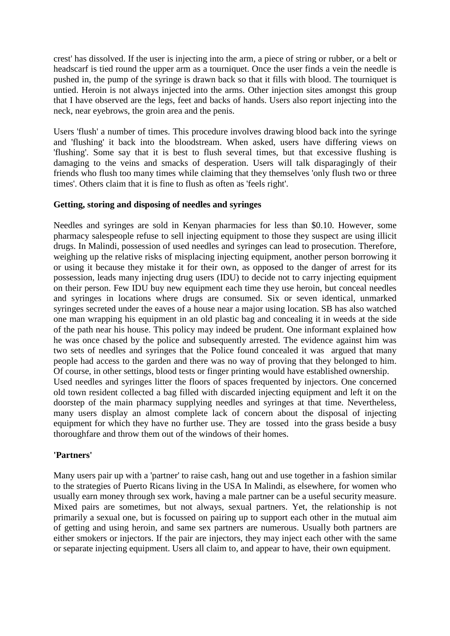crest' has dissolved. If the user is injecting into the arm, a piece of string or rubber, or a belt or headscarf is tied round the upper arm as a tourniquet. Once the user finds a vein the needle is pushed in, the pump of the syringe is drawn back so that it fills with blood. The tourniquet is untied. Heroin is not always injected into the arms. Other injection sites amongst this group that I have observed are the legs, feet and backs of hands. Users also report injecting into the neck, near eyebrows, the groin area and the penis.

Users 'flush' a number of times. This procedure involves drawing blood back into the syringe and 'flushing' it back into the bloodstream. When asked, users have differing views on 'flushing'. Some say that it is best to flush several times, but that excessive flushing is damaging to the veins and smacks of desperation. Users will talk disparagingly of their friends who flush too many times while claiming that they themselves 'only flush two or three times'. Others claim that it is fine to flush as often as 'feels right'.

## **Getting, storing and disposing of needles and syringes**

Needles and syringes are sold in Kenyan pharmacies for less than \$0.10. However, some pharmacy salespeople refuse to sell injecting equipment to those they suspect are using illicit drugs. In Malindi, possession of used needles and syringes can lead to prosecution. Therefore, weighing up the relative risks of misplacing injecting equipment, another person borrowing it or using it because they mistake it for their own, as opposed to the danger of arrest for its possession, leads many injecting drug users (IDU) to decide not to carry injecting equipment on their person. Few IDU buy new equipment each time they use heroin, but conceal needles and syringes in locations where drugs are consumed. Six or seven identical, unmarked syringes secreted under the eaves of a house near a major using location. SB has also watched one man wrapping his equipment in an old plastic bag and concealing it in weeds at the side of the path near his house. This policy may indeed be prudent. One informant explained how he was once chased by the police and subsequently arrested. The evidence against him was two sets of needles and syringes that the Police found concealed it was argued that many people had access to the garden and there was no way of proving that they belonged to him. Of course, in other settings, blood tests or finger printing would have established ownership. Used needles and syringes litter the floors of spaces frequented by injectors. One concerned old town resident collected a bag filled with discarded injecting equipment and left it on the doorstep of the main pharmacy supplying needles and syringes at that time. Nevertheless, many users display an almost complete lack of concern about the disposal of injecting equipment for which they have no further use. They are tossed into the grass beside a busy thoroughfare and throw them out of the windows of their homes.

# **'Partners'**

Many users pair up with a 'partner' to raise cash, hang out and use together in a fashion similar to the strategies of Puerto Ricans living in the USA In Malindi, as elsewhere, for women who usually earn money through sex work, having a male partner can be a useful security measure. Mixed pairs are sometimes, but not always, sexual partners. Yet, the relationship is not primarily a sexual one, but is focussed on pairing up to support each other in the mutual aim of getting and using heroin, and same sex partners are numerous. Usually both partners are either smokers or injectors. If the pair are injectors, they may inject each other with the same or separate injecting equipment. Users all claim to, and appear to have, their own equipment.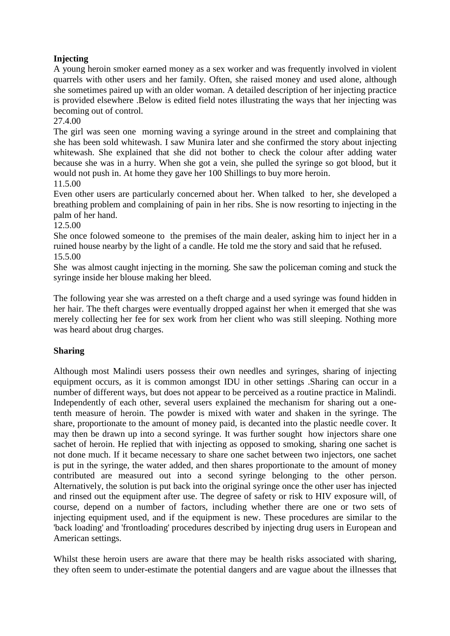# **Injecting**

A young heroin smoker earned money as a sex worker and was frequently involved in violent quarrels with other users and her family. Often, she raised money and used alone, although she sometimes paired up with an older woman. A detailed description of her injecting practice is provided elsewhere .Below is edited field notes illustrating the ways that her injecting was becoming out of control.

## 27.4.00

The girl was seen one morning waving a syringe around in the street and complaining that she has been sold whitewash. I saw Munira later and she confirmed the story about injecting whitewash. She explained that she did not bother to check the colour after adding water because she was in a hurry. When she got a vein, she pulled the syringe so got blood, but it would not push in. At home they gave her 100 Shillings to buy more heroin.

#### 11.5.00

Even other users are particularly concerned about her. When talked to her, she developed a breathing problem and complaining of pain in her ribs. She is now resorting to injecting in the palm of her hand.

### 12.5.00

She once folowed someone to the premises of the main dealer, asking him to inject her in a ruined house nearby by the light of a candle. He told me the story and said that he refused. 15.5.00

She was almost caught injecting in the morning. She saw the policeman coming and stuck the syringe inside her blouse making her bleed.

The following year she was arrested on a theft charge and a used syringe was found hidden in her hair. The theft charges were eventually dropped against her when it emerged that she was merely collecting her fee for sex work from her client who was still sleeping. Nothing more was heard about drug charges.

### **Sharing**

Although most Malindi users possess their own needles and syringes, sharing of injecting equipment occurs, as it is common amongst IDU in other settings .Sharing can occur in a number of different ways, but does not appear to be perceived as a routine practice in Malindi. Independently of each other, several users explained the mechanism for sharing out a onetenth measure of heroin. The powder is mixed with water and shaken in the syringe. The share, proportionate to the amount of money paid, is decanted into the plastic needle cover. It may then be drawn up into a second syringe. It was further sought how injectors share one sachet of heroin. He replied that with injecting as opposed to smoking, sharing one sachet is not done much. If it became necessary to share one sachet between two injectors, one sachet is put in the syringe, the water added, and then shares proportionate to the amount of money contributed are measured out into a second syringe belonging to the other person. Alternatively, the solution is put back into the original syringe once the other user has injected and rinsed out the equipment after use. The degree of safety or risk to HIV exposure will, of course, depend on a number of factors, including whether there are one or two sets of injecting equipment used, and if the equipment is new. These procedures are similar to the 'back loading' and 'frontloading' procedures described by injecting drug users in European and American settings.

Whilst these heroin users are aware that there may be health risks associated with sharing, they often seem to under-estimate the potential dangers and are vague about the illnesses that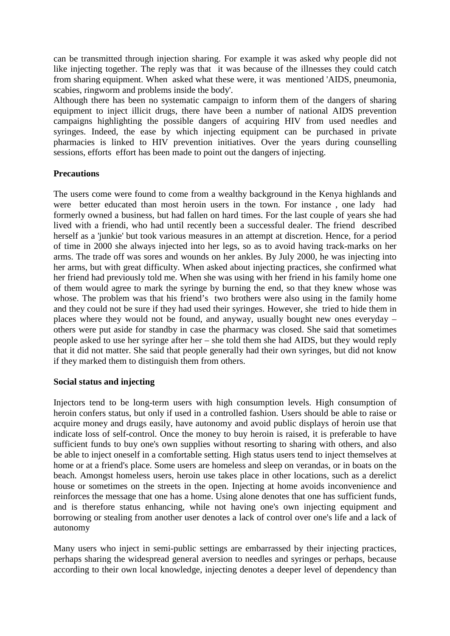can be transmitted through injection sharing. For example it was asked why people did not like injecting together. The reply was that it was because of the illnesses they could catch from sharing equipment. When asked what these were, it was mentioned 'AIDS, pneumonia, scabies, ringworm and problems inside the body'.

Although there has been no systematic campaign to inform them of the dangers of sharing equipment to inject illicit drugs, there have been a number of national AIDS prevention campaigns highlighting the possible dangers of acquiring HIV from used needles and syringes. Indeed, the ease by which injecting equipment can be purchased in private pharmacies is linked to HIV prevention initiatives. Over the years during counselling sessions, efforts effort has been made to point out the dangers of injecting.

## **Precautions**

The users come were found to come from a wealthy background in the Kenya highlands and were better educated than most heroin users in the town. For instance , one lady had formerly owned a business, but had fallen on hard times. For the last couple of years she had lived with a friendi, who had until recently been a successful dealer. The friend described herself as a 'junkie' but took various measures in an attempt at discretion. Hence, for a period of time in 2000 she always injected into her legs, so as to avoid having track-marks on her arms. The trade off was sores and wounds on her ankles. By July 2000, he was injecting into her arms, but with great difficulty. When asked about injecting practices, she confirmed what her friend had previously told me. When she was using with her friend in his family home one of them would agree to mark the syringe by burning the end, so that they knew whose was whose. The problem was that his friend's two brothers were also using in the family home and they could not be sure if they had used their syringes. However, she tried to hide them in places where they would not be found, and anyway, usually bought new ones everyday – others were put aside for standby in case the pharmacy was closed. She said that sometimes people asked to use her syringe after her – she told them she had AIDS, but they would reply that it did not matter. She said that people generally had their own syringes, but did not know if they marked them to distinguish them from others.

### **Social status and injecting**

Injectors tend to be long-term users with high consumption levels. High consumption of heroin confers status, but only if used in a controlled fashion. Users should be able to raise or acquire money and drugs easily, have autonomy and avoid public displays of heroin use that indicate loss of self-control. Once the money to buy heroin is raised, it is preferable to have sufficient funds to buy one's own supplies without resorting to sharing with others, and also be able to inject oneself in a comfortable setting. High status users tend to inject themselves at home or at a friend's place. Some users are homeless and sleep on verandas, or in boats on the beach. Amongst homeless users, heroin use takes place in other locations, such as a derelict house or sometimes on the streets in the open. Injecting at home avoids inconvenience and reinforces the message that one has a home. Using alone denotes that one has sufficient funds, and is therefore status enhancing, while not having one's own injecting equipment and borrowing or stealing from another user denotes a lack of control over one's life and a lack of autonomy

Many users who inject in semi-public settings are embarrassed by their injecting practices, perhaps sharing the widespread general aversion to needles and syringes or perhaps, because according to their own local knowledge, injecting denotes a deeper level of dependency than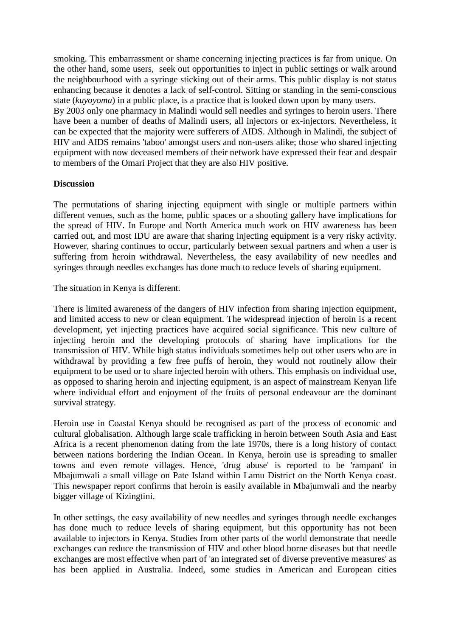smoking. This embarrassment or shame concerning injecting practices is far from unique. On the other hand, some users, seek out opportunities to inject in public settings or walk around the neighbourhood with a syringe sticking out of their arms. This public display is not status enhancing because it denotes a lack of self-control. Sitting or standing in the semi-conscious state (*kuyoyoma*) in a public place, is a practice that is looked down upon by many users.

By 2003 only one pharmacy in Malindi would sell needles and syringes to heroin users. There have been a number of deaths of Malindi users, all injectors or ex-injectors. Nevertheless, it can be expected that the majority were sufferers of AIDS. Although in Malindi, the subject of HIV and AIDS remains 'taboo' amongst users and non-users alike; those who shared injecting equipment with now deceased members of their network have expressed their fear and despair to members of the Omari Project that they are also HIV positive.

### **Discussion**

The permutations of sharing injecting equipment with single or multiple partners within different venues, such as the home, public spaces or a shooting gallery have implications for the spread of HIV. In Europe and North America much work on HIV awareness has been carried out, and most IDU are aware that sharing injecting equipment is a very risky activity. However, sharing continues to occur, particularly between sexual partners and when a user is suffering from heroin withdrawal. Nevertheless, the easy availability of new needles and syringes through needles exchanges has done much to reduce levels of sharing equipment.

The situation in Kenya is different.

There is limited awareness of the dangers of HIV infection from sharing injection equipment, and limited access to new or clean equipment. The widespread injection of heroin is a recent development, yet injecting practices have acquired social significance. This new culture of injecting heroin and the developing protocols of sharing have implications for the transmission of HIV. While high status individuals sometimes help out other users who are in withdrawal by providing a few free puffs of heroin, they would not routinely allow their equipment to be used or to share injected heroin with others. This emphasis on individual use, as opposed to sharing heroin and injecting equipment, is an aspect of mainstream Kenyan life where individual effort and enjoyment of the fruits of personal endeavour are the dominant survival strategy.

Heroin use in Coastal Kenya should be recognised as part of the process of economic and cultural globalisation. Although large scale trafficking in heroin between South Asia and East Africa is a recent phenomenon dating from the late 1970s, there is a long history of contact between nations bordering the Indian Ocean. In Kenya, heroin use is spreading to smaller towns and even remote villages. Hence, 'drug abuse' is reported to be 'rampant' in Mbajumwali a small village on Pate Island within Lamu District on the North Kenya coast. This newspaper report confirms that heroin is easily available in Mbajumwali and the nearby bigger village of Kizingtini.

In other settings, the easy availability of new needles and syringes through needle exchanges has done much to reduce levels of sharing equipment, but this opportunity has not been available to injectors in Kenya. Studies from other parts of the world demonstrate that needle exchanges can reduce the transmission of HIV and other blood borne diseases but that needle exchanges are most effective when part of 'an integrated set of diverse preventive measures' as has been applied in Australia. Indeed, some studies in American and European cities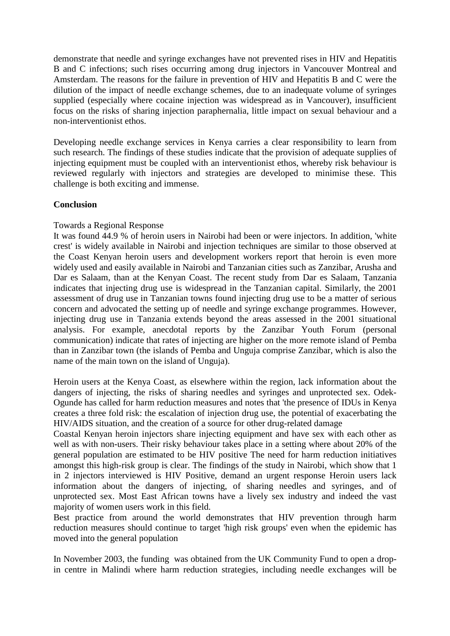demonstrate that needle and syringe exchanges have not prevented rises in HIV and Hepatitis B and C infections; such rises occurring among drug injectors in Vancouver Montreal and Amsterdam. The reasons for the failure in prevention of HIV and Hepatitis B and C were the dilution of the impact of needle exchange schemes, due to an inadequate volume of syringes supplied (especially where cocaine injection was widespread as in Vancouver), insufficient focus on the risks of sharing injection paraphernalia, little impact on sexual behaviour and a non-interventionist ethos.

Developing needle exchange services in Kenya carries a clear responsibility to learn from such research. The findings of these studies indicate that the provision of adequate supplies of injecting equipment must be coupled with an interventionist ethos, whereby risk behaviour is reviewed regularly with injectors and strategies are developed to minimise these. This challenge is both exciting and immense.

## **Conclusion**

## Towards a Regional Response

It was found 44.9 % of heroin users in Nairobi had been or were injectors. In addition, 'white crest' is widely available in Nairobi and injection techniques are similar to those observed at the Coast Kenyan heroin users and development workers report that heroin is even more widely used and easily available in Nairobi and Tanzanian cities such as Zanzibar, Arusha and Dar es Salaam, than at the Kenyan Coast. The recent study from Dar es Salaam, Tanzania indicates that injecting drug use is widespread in the Tanzanian capital. Similarly, the 2001 assessment of drug use in Tanzanian towns found injecting drug use to be a matter of serious concern and advocated the setting up of needle and syringe exchange programmes. However, injecting drug use in Tanzania extends beyond the areas assessed in the 2001 situational analysis. For example, anecdotal reports by the Zanzibar Youth Forum (personal communication) indicate that rates of injecting are higher on the more remote island of Pemba than in Zanzibar town (the islands of Pemba and Unguja comprise Zanzibar, which is also the name of the main town on the island of Unguja).

Heroin users at the Kenya Coast, as elsewhere within the region, lack information about the dangers of injecting, the risks of sharing needles and syringes and unprotected sex. Odek-Ogunde has called for harm reduction measures and notes that 'the presence of IDUs in Kenya creates a three fold risk: the escalation of injection drug use, the potential of exacerbating the HIV/AIDS situation, and the creation of a source for other drug-related damage

Coastal Kenyan heroin injectors share injecting equipment and have sex with each other as well as with non-users. Their risky behaviour takes place in a setting where about 20% of the general population are estimated to be HIV positive The need for harm reduction initiatives amongst this high-risk group is clear. The findings of the study in Nairobi, which show that 1 in 2 injectors interviewed is HIV Positive, demand an urgent response Heroin users lack information about the dangers of injecting, of sharing needles and syringes, and of unprotected sex. Most East African towns have a lively sex industry and indeed the vast majority of women users work in this field.

Best practice from around the world demonstrates that HIV prevention through harm reduction measures should continue to target 'high risk groups' even when the epidemic has moved into the general population

In November 2003, the funding was obtained from the UK Community Fund to open a dropin centre in Malindi where harm reduction strategies, including needle exchanges will be